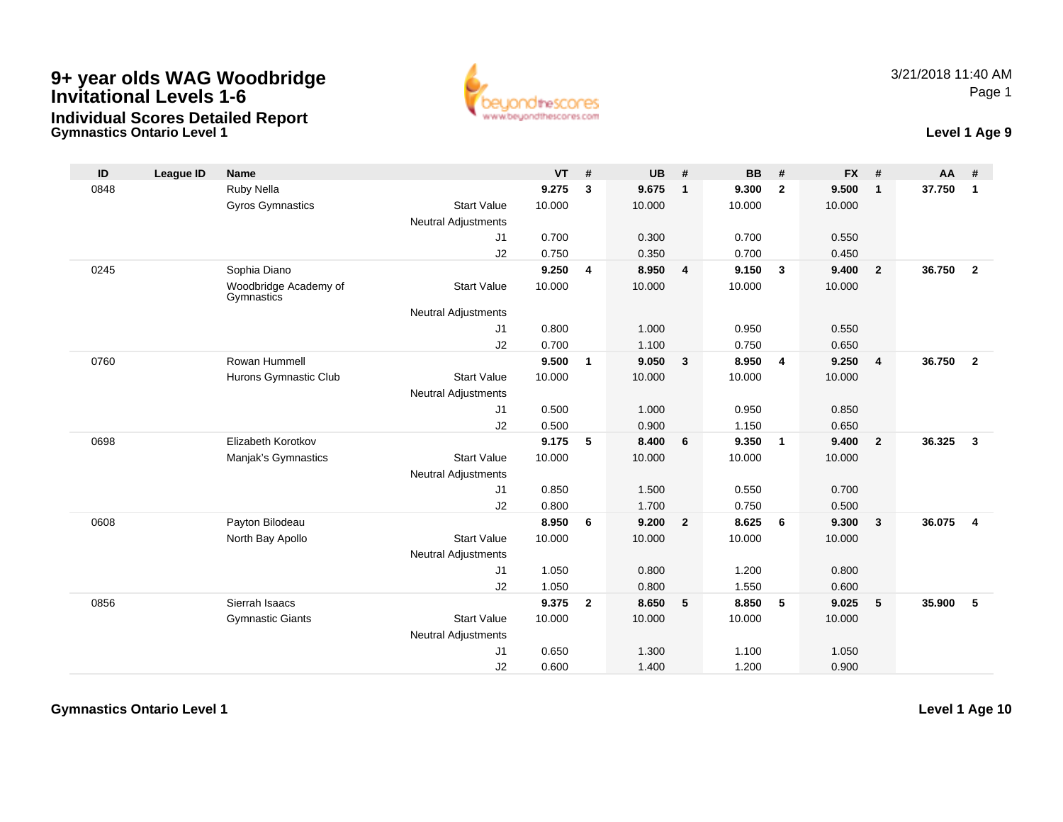## **9+ year olds WAG Woodbridge Invitational Levels 1-6Individual Scores Detailed Report**



## **Gymnastics Ontario Level 1 Level 1 Age 9**

| ID   | <b>League ID</b> | <b>Name</b>                         |                            | <b>VT</b> | #            | <b>UB</b> | #                       | <b>BB</b> | #                       | <b>FX</b> | #              | <b>AA</b> | #                       |
|------|------------------|-------------------------------------|----------------------------|-----------|--------------|-----------|-------------------------|-----------|-------------------------|-----------|----------------|-----------|-------------------------|
| 0848 |                  | Ruby Nella                          |                            | 9.275     | 3            | 9.675     | $\overline{1}$          | 9.300     | $\overline{2}$          | 9.500     | $\mathbf{1}$   | 37.750    | $\mathbf{1}$            |
|      |                  | Gyros Gymnastics                    | <b>Start Value</b>         | 10.000    |              | 10.000    |                         | 10.000    |                         | 10.000    |                |           |                         |
|      |                  |                                     | <b>Neutral Adjustments</b> |           |              |           |                         |           |                         |           |                |           |                         |
|      |                  |                                     | J1                         | 0.700     |              | 0.300     |                         | 0.700     |                         | 0.550     |                |           |                         |
|      |                  |                                     | J2                         | 0.750     |              | 0.350     |                         | 0.700     |                         | 0.450     |                |           |                         |
| 0245 |                  | Sophia Diano                        |                            | 9.250     | 4            | 8.950     | $\overline{4}$          | 9.150     | $\overline{\mathbf{3}}$ | 9.400     | $\overline{2}$ | 36.750    | $\overline{2}$          |
|      |                  | Woodbridge Academy of<br>Gymnastics | <b>Start Value</b>         | 10.000    |              | 10.000    |                         | 10.000    |                         | 10.000    |                |           |                         |
|      |                  |                                     | <b>Neutral Adjustments</b> |           |              |           |                         |           |                         |           |                |           |                         |
|      |                  |                                     | J1                         | 0.800     |              | 1.000     |                         | 0.950     |                         | 0.550     |                |           |                         |
|      |                  |                                     | J2                         | 0.700     |              | 1.100     |                         | 0.750     |                         | 0.650     |                |           |                         |
| 0760 |                  | Rowan Hummell                       |                            | 9.500     | $\mathbf{1}$ | 9.050     | $\overline{\mathbf{3}}$ | 8.950     | $\overline{4}$          | 9.250     | 4              | 36.750    | $\overline{2}$          |
|      |                  | Hurons Gymnastic Club               | <b>Start Value</b>         | 10.000    |              | 10.000    |                         | 10.000    |                         | 10.000    |                |           |                         |
|      |                  |                                     | Neutral Adjustments        |           |              |           |                         |           |                         |           |                |           |                         |
|      |                  |                                     | J1                         | 0.500     |              | 1.000     |                         | 0.950     |                         | 0.850     |                |           |                         |
|      |                  |                                     | J2                         | 0.500     |              | 0.900     |                         | 1.150     |                         | 0.650     |                |           |                         |
| 0698 |                  | Elizabeth Korotkov                  |                            | 9.175     | 5            | 8.400     | 6                       | 9.350     | $\overline{1}$          | 9.400     | $\overline{2}$ | 36.325    | $\overline{\mathbf{3}}$ |
|      |                  | Manjak's Gymnastics                 | <b>Start Value</b>         | 10.000    |              | 10.000    |                         | 10.000    |                         | 10.000    |                |           |                         |
|      |                  |                                     | <b>Neutral Adjustments</b> |           |              |           |                         |           |                         |           |                |           |                         |
|      |                  |                                     | J1                         | 0.850     |              | 1.500     |                         | 0.550     |                         | 0.700     |                |           |                         |
|      |                  |                                     | J2                         | 0.800     |              | 1.700     |                         | 0.750     |                         | 0.500     |                |           |                         |
| 0608 |                  | Payton Bilodeau                     |                            | 8.950     | 6            | 9.200     | $\overline{2}$          | 8.625     | 6                       | 9.300     | 3              | 36.075    | $\overline{4}$          |
|      |                  | North Bay Apollo                    | <b>Start Value</b>         | 10.000    |              | 10.000    |                         | 10.000    |                         | 10.000    |                |           |                         |
|      |                  |                                     | <b>Neutral Adjustments</b> |           |              |           |                         |           |                         |           |                |           |                         |
|      |                  |                                     | J1                         | 1.050     |              | 0.800     |                         | 1.200     |                         | 0.800     |                |           |                         |
|      |                  |                                     | J2                         | 1.050     |              | 0.800     |                         | 1.550     |                         | 0.600     |                |           |                         |
| 0856 |                  | Sierrah Isaacs                      |                            | 9.375     | $\mathbf{2}$ | 8.650     | 5                       | 8.850     | 5                       | 9.025     | 5              | 35.900    | 5                       |
|      |                  | <b>Gymnastic Giants</b>             | <b>Start Value</b>         | 10.000    |              | 10.000    |                         | 10.000    |                         | 10.000    |                |           |                         |
|      |                  |                                     | <b>Neutral Adjustments</b> |           |              |           |                         |           |                         |           |                |           |                         |
|      |                  |                                     | J <sub>1</sub>             | 0.650     |              | 1.300     |                         | 1.100     |                         | 1.050     |                |           |                         |
|      |                  |                                     | J2                         | 0.600     |              | 1.400     |                         | 1.200     |                         | 0.900     |                |           |                         |

**Gymnastics Ontario Level 1**

**Level 1 Age 10**